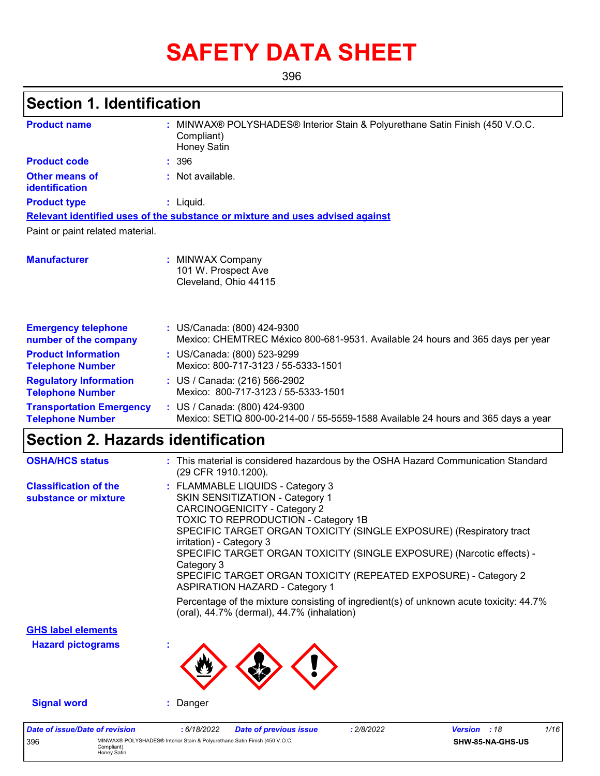# **SAFETY DATA SHEET**

396

## **Section 1. Identification**

396 MINWAX® POLYSHADES® Interior Stain & Polyurethane Satin Finish (450 V.O.C. Compliant) Honey Satin

| <b>Product name</b>                                        | MINWAX® POLYSHADES® Interior Stain & Polyurethane Satin Finish (450 V.O.C.<br>Compliant)<br>Honey Satin                                                                                                                                                                                                                                                                                                                                                                                                                                                                                                |
|------------------------------------------------------------|--------------------------------------------------------------------------------------------------------------------------------------------------------------------------------------------------------------------------------------------------------------------------------------------------------------------------------------------------------------------------------------------------------------------------------------------------------------------------------------------------------------------------------------------------------------------------------------------------------|
| <b>Product code</b>                                        | : 396                                                                                                                                                                                                                                                                                                                                                                                                                                                                                                                                                                                                  |
| <b>Other means of</b><br>identification                    | : Not available.                                                                                                                                                                                                                                                                                                                                                                                                                                                                                                                                                                                       |
| <b>Product type</b>                                        | $:$ Liquid.                                                                                                                                                                                                                                                                                                                                                                                                                                                                                                                                                                                            |
|                                                            | Relevant identified uses of the substance or mixture and uses advised against                                                                                                                                                                                                                                                                                                                                                                                                                                                                                                                          |
| Paint or paint related material.                           |                                                                                                                                                                                                                                                                                                                                                                                                                                                                                                                                                                                                        |
| <b>Manufacturer</b>                                        | : MINWAX Company<br>101 W. Prospect Ave<br>Cleveland, Ohio 44115                                                                                                                                                                                                                                                                                                                                                                                                                                                                                                                                       |
| <b>Emergency telephone</b><br>number of the company        | : US/Canada: (800) 424-9300<br>Mexico: CHEMTREC México 800-681-9531. Available 24 hours and 365 days per year                                                                                                                                                                                                                                                                                                                                                                                                                                                                                          |
| <b>Product Information</b><br><b>Telephone Number</b>      | : US/Canada: (800) 523-9299<br>Mexico: 800-717-3123 / 55-5333-1501                                                                                                                                                                                                                                                                                                                                                                                                                                                                                                                                     |
| <b>Regulatory Information</b><br><b>Telephone Number</b>   | : US / Canada: (216) 566-2902<br>Mexico: 800-717-3123 / 55-5333-1501                                                                                                                                                                                                                                                                                                                                                                                                                                                                                                                                   |
| <b>Transportation Emergency</b><br><b>Telephone Number</b> | : US / Canada: (800) 424-9300<br>Mexico: SETIQ 800-00-214-00 / 55-5559-1588 Available 24 hours and 365 days a year                                                                                                                                                                                                                                                                                                                                                                                                                                                                                     |
| <b>Section 2. Hazards identification</b>                   |                                                                                                                                                                                                                                                                                                                                                                                                                                                                                                                                                                                                        |
| <b>OSHA/HCS status</b>                                     | : This material is considered hazardous by the OSHA Hazard Communication Standard<br>(29 CFR 1910.1200).                                                                                                                                                                                                                                                                                                                                                                                                                                                                                               |
| <b>Classification of the</b><br>substance or mixture       | : FLAMMABLE LIQUIDS - Category 3<br>SKIN SENSITIZATION - Category 1<br><b>CARCINOGENICITY - Category 2</b><br><b>TOXIC TO REPRODUCTION - Category 1B</b><br>SPECIFIC TARGET ORGAN TOXICITY (SINGLE EXPOSURE) (Respiratory tract<br>irritation) - Category 3<br>SPECIFIC TARGET ORGAN TOXICITY (SINGLE EXPOSURE) (Narcotic effects) -<br>Category 3<br>SPECIFIC TARGET ORGAN TOXICITY (REPEATED EXPOSURE) - Category 2<br><b>ASPIRATION HAZARD - Category 1</b><br>Percentage of the mixture consisting of ingredient(s) of unknown acute toxicity: 44.7%<br>(oral), 44.7% (dermal), 44.7% (inhalation) |
| <b>GHS label elements</b>                                  |                                                                                                                                                                                                                                                                                                                                                                                                                                                                                                                                                                                                        |
| <b>Hazard pictograms</b>                                   |                                                                                                                                                                                                                                                                                                                                                                                                                                                                                                                                                                                                        |
| <b>Signal word</b>                                         | : Danger                                                                                                                                                                                                                                                                                                                                                                                                                                                                                                                                                                                               |
| <b>Date of issue/Date of revision</b>                      | 1/16<br>: 6/18/2022<br>: 2/8/2022<br>Version : 18<br><b>Date of previous issue</b>                                                                                                                                                                                                                                                                                                                                                                                                                                                                                                                     |

**SHW-85-NA-GHS-US**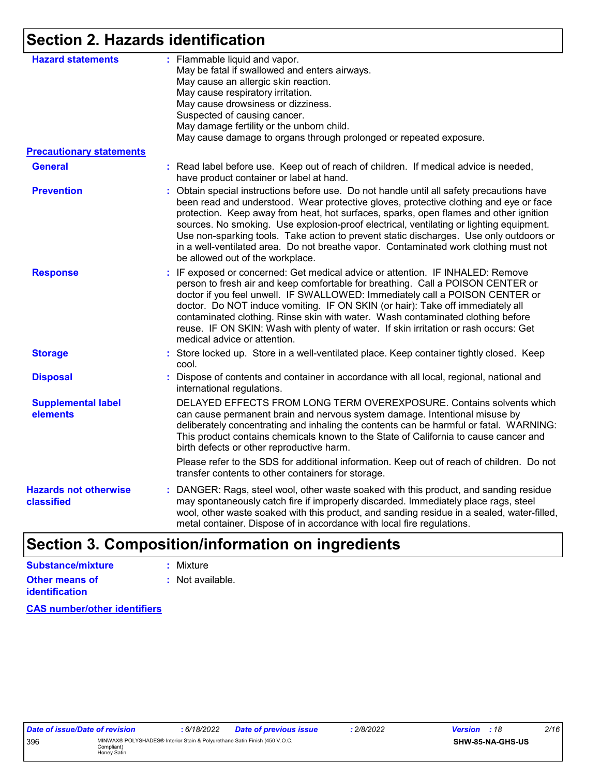## **Section 2. Hazards identification**

| : Flammable liquid and vapor.<br><b>Hazard statements</b><br>May be fatal if swallowed and enters airways.<br>May cause an allergic skin reaction.<br>May cause respiratory irritation.<br>May cause drowsiness or dizziness.<br>Suspected of causing cancer.<br>May damage fertility or the unborn child.<br>May cause damage to organs through prolonged or repeated exposure.<br><b>Precautionary statements</b><br><b>General</b><br>: Read label before use. Keep out of reach of children. If medical advice is needed,<br>have product container or label at hand.<br><b>Prevention</b><br>: Obtain special instructions before use. Do not handle until all safety precautions have<br>be allowed out of the workplace.<br>: IF exposed or concerned: Get medical advice or attention. IF INHALED: Remove<br><b>Response</b><br>person to fresh air and keep comfortable for breathing. Call a POISON CENTER or<br>doctor if you feel unwell. IF SWALLOWED: Immediately call a POISON CENTER or<br>doctor. Do NOT induce vomiting. IF ON SKIN (or hair): Take off immediately all<br>contaminated clothing. Rinse skin with water. Wash contaminated clothing before<br>reuse. IF ON SKIN: Wash with plenty of water. If skin irritation or rash occurs: Get<br>medical advice or attention.<br>: Store locked up. Store in a well-ventilated place. Keep container tightly closed. Keep<br><b>Storage</b><br>cool.<br><b>Disposal</b><br>: Dispose of contents and container in accordance with all local, regional, national and<br>international regulations.<br><b>Supplemental label</b><br>can cause permanent brain and nervous system damage. Intentional misuse by<br>elements<br>This product contains chemicals known to the State of California to cause cancer and<br>birth defects or other reproductive harm.<br>Please refer to the SDS for additional information. Keep out of reach of children. Do not<br>transfer contents to other containers for storage.<br><b>Hazards not otherwise</b><br>may spontaneously catch fire if improperly discarded. Immediately place rags, steel<br>classified |                                                                                                                                                                                                                                                                                                                                                                                                                                                             |
|------------------------------------------------------------------------------------------------------------------------------------------------------------------------------------------------------------------------------------------------------------------------------------------------------------------------------------------------------------------------------------------------------------------------------------------------------------------------------------------------------------------------------------------------------------------------------------------------------------------------------------------------------------------------------------------------------------------------------------------------------------------------------------------------------------------------------------------------------------------------------------------------------------------------------------------------------------------------------------------------------------------------------------------------------------------------------------------------------------------------------------------------------------------------------------------------------------------------------------------------------------------------------------------------------------------------------------------------------------------------------------------------------------------------------------------------------------------------------------------------------------------------------------------------------------------------------------------------------------------------------------------------------------------------------------------------------------------------------------------------------------------------------------------------------------------------------------------------------------------------------------------------------------------------------------------------------------------------------------------------------------------------------------------------------------------------------------------------------------------------------|-------------------------------------------------------------------------------------------------------------------------------------------------------------------------------------------------------------------------------------------------------------------------------------------------------------------------------------------------------------------------------------------------------------------------------------------------------------|
|                                                                                                                                                                                                                                                                                                                                                                                                                                                                                                                                                                                                                                                                                                                                                                                                                                                                                                                                                                                                                                                                                                                                                                                                                                                                                                                                                                                                                                                                                                                                                                                                                                                                                                                                                                                                                                                                                                                                                                                                                                                                                                                              |                                                                                                                                                                                                                                                                                                                                                                                                                                                             |
|                                                                                                                                                                                                                                                                                                                                                                                                                                                                                                                                                                                                                                                                                                                                                                                                                                                                                                                                                                                                                                                                                                                                                                                                                                                                                                                                                                                                                                                                                                                                                                                                                                                                                                                                                                                                                                                                                                                                                                                                                                                                                                                              |                                                                                                                                                                                                                                                                                                                                                                                                                                                             |
|                                                                                                                                                                                                                                                                                                                                                                                                                                                                                                                                                                                                                                                                                                                                                                                                                                                                                                                                                                                                                                                                                                                                                                                                                                                                                                                                                                                                                                                                                                                                                                                                                                                                                                                                                                                                                                                                                                                                                                                                                                                                                                                              |                                                                                                                                                                                                                                                                                                                                                                                                                                                             |
|                                                                                                                                                                                                                                                                                                                                                                                                                                                                                                                                                                                                                                                                                                                                                                                                                                                                                                                                                                                                                                                                                                                                                                                                                                                                                                                                                                                                                                                                                                                                                                                                                                                                                                                                                                                                                                                                                                                                                                                                                                                                                                                              | been read and understood. Wear protective gloves, protective clothing and eye or face<br>protection. Keep away from heat, hot surfaces, sparks, open flames and other ignition<br>sources. No smoking. Use explosion-proof electrical, ventilating or lighting equipment.<br>Use non-sparking tools. Take action to prevent static discharges. Use only outdoors or<br>in a well-ventilated area. Do not breathe vapor. Contaminated work clothing must not |
|                                                                                                                                                                                                                                                                                                                                                                                                                                                                                                                                                                                                                                                                                                                                                                                                                                                                                                                                                                                                                                                                                                                                                                                                                                                                                                                                                                                                                                                                                                                                                                                                                                                                                                                                                                                                                                                                                                                                                                                                                                                                                                                              |                                                                                                                                                                                                                                                                                                                                                                                                                                                             |
|                                                                                                                                                                                                                                                                                                                                                                                                                                                                                                                                                                                                                                                                                                                                                                                                                                                                                                                                                                                                                                                                                                                                                                                                                                                                                                                                                                                                                                                                                                                                                                                                                                                                                                                                                                                                                                                                                                                                                                                                                                                                                                                              |                                                                                                                                                                                                                                                                                                                                                                                                                                                             |
|                                                                                                                                                                                                                                                                                                                                                                                                                                                                                                                                                                                                                                                                                                                                                                                                                                                                                                                                                                                                                                                                                                                                                                                                                                                                                                                                                                                                                                                                                                                                                                                                                                                                                                                                                                                                                                                                                                                                                                                                                                                                                                                              |                                                                                                                                                                                                                                                                                                                                                                                                                                                             |
|                                                                                                                                                                                                                                                                                                                                                                                                                                                                                                                                                                                                                                                                                                                                                                                                                                                                                                                                                                                                                                                                                                                                                                                                                                                                                                                                                                                                                                                                                                                                                                                                                                                                                                                                                                                                                                                                                                                                                                                                                                                                                                                              | DELAYED EFFECTS FROM LONG TERM OVEREXPOSURE. Contains solvents which<br>deliberately concentrating and inhaling the contents can be harmful or fatal. WARNING:                                                                                                                                                                                                                                                                                              |
|                                                                                                                                                                                                                                                                                                                                                                                                                                                                                                                                                                                                                                                                                                                                                                                                                                                                                                                                                                                                                                                                                                                                                                                                                                                                                                                                                                                                                                                                                                                                                                                                                                                                                                                                                                                                                                                                                                                                                                                                                                                                                                                              |                                                                                                                                                                                                                                                                                                                                                                                                                                                             |
|                                                                                                                                                                                                                                                                                                                                                                                                                                                                                                                                                                                                                                                                                                                                                                                                                                                                                                                                                                                                                                                                                                                                                                                                                                                                                                                                                                                                                                                                                                                                                                                                                                                                                                                                                                                                                                                                                                                                                                                                                                                                                                                              | : DANGER: Rags, steel wool, other waste soaked with this product, and sanding residue<br>wool, other waste soaked with this product, and sanding residue in a sealed, water-filled,<br>metal container. Dispose of in accordance with local fire regulations.                                                                                                                                                                                               |

## **Section 3. Composition/information on ingredients**

| Substance/mixture                       | : Mixture        |
|-----------------------------------------|------------------|
| Other means of<br><b>identification</b> | : Not available. |

**CAS number/other identifiers**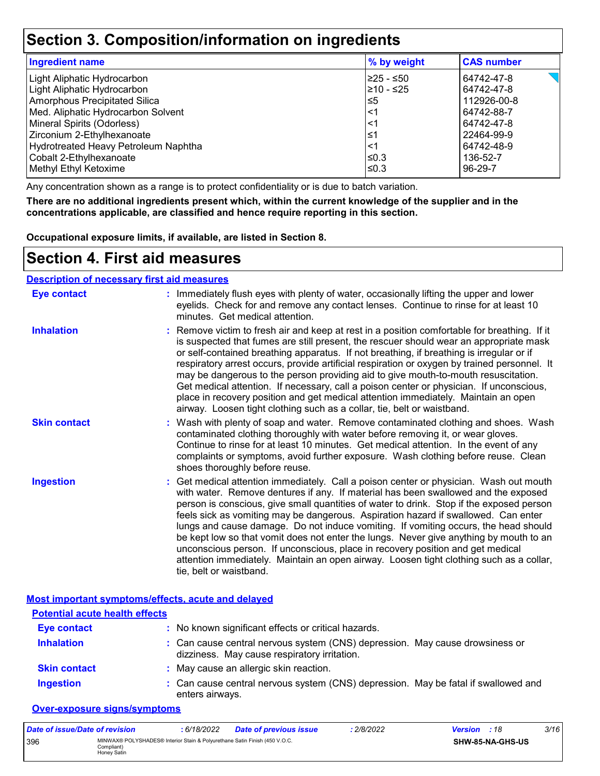### **Section 3. Composition/information on ingredients**

| <b>Ingredient name</b>               | % by weight | <b>CAS number</b> |
|--------------------------------------|-------------|-------------------|
| Light Aliphatic Hydrocarbon          | 225 - ≤50   | 64742-47-8        |
| Light Aliphatic Hydrocarbon          | 210 - ≤25   | 64742-47-8        |
| <b>Amorphous Precipitated Silica</b> | l≤5         | 112926-00-8       |
| Med. Aliphatic Hydrocarbon Solvent   | $\leq$ 1    | 64742-88-7        |
| Mineral Spirits (Odorless)           | $\leq$ 1    | 64742-47-8        |
| Zirconium 2-Ethylhexanoate           | 1≤          | 22464-99-9        |
| Hydrotreated Heavy Petroleum Naphtha | $\leq$ 1    | 64742-48-9        |
| Cobalt 2-Ethylhexanoate              | $\leq 0.3$  | 136-52-7          |
| Methyl Ethyl Ketoxime                | l≤0.3       | 96-29-7           |

Any concentration shown as a range is to protect confidentiality or is due to batch variation.

**There are no additional ingredients present which, within the current knowledge of the supplier and in the concentrations applicable, are classified and hence require reporting in this section.**

**Occupational exposure limits, if available, are listed in Section 8.**

### **Section 4. First aid measures**

#### **Description of necessary first aid measures**

| <b>Eye contact</b>  | : Immediately flush eyes with plenty of water, occasionally lifting the upper and lower<br>eyelids. Check for and remove any contact lenses. Continue to rinse for at least 10<br>minutes. Get medical attention.                                                                                                                                                                                                                                                                                                                                                                                                                                                                                                                                       |
|---------------------|---------------------------------------------------------------------------------------------------------------------------------------------------------------------------------------------------------------------------------------------------------------------------------------------------------------------------------------------------------------------------------------------------------------------------------------------------------------------------------------------------------------------------------------------------------------------------------------------------------------------------------------------------------------------------------------------------------------------------------------------------------|
| <b>Inhalation</b>   | : Remove victim to fresh air and keep at rest in a position comfortable for breathing. If it<br>is suspected that fumes are still present, the rescuer should wear an appropriate mask<br>or self-contained breathing apparatus. If not breathing, if breathing is irregular or if<br>respiratory arrest occurs, provide artificial respiration or oxygen by trained personnel. It<br>may be dangerous to the person providing aid to give mouth-to-mouth resuscitation.<br>Get medical attention. If necessary, call a poison center or physician. If unconscious,<br>place in recovery position and get medical attention immediately. Maintain an open<br>airway. Loosen tight clothing such as a collar, tie, belt or waistband.                    |
| <b>Skin contact</b> | : Wash with plenty of soap and water. Remove contaminated clothing and shoes. Wash<br>contaminated clothing thoroughly with water before removing it, or wear gloves.<br>Continue to rinse for at least 10 minutes. Get medical attention. In the event of any<br>complaints or symptoms, avoid further exposure. Wash clothing before reuse. Clean<br>shoes thoroughly before reuse.                                                                                                                                                                                                                                                                                                                                                                   |
| <b>Ingestion</b>    | : Get medical attention immediately. Call a poison center or physician. Wash out mouth<br>with water. Remove dentures if any. If material has been swallowed and the exposed<br>person is conscious, give small quantities of water to drink. Stop if the exposed person<br>feels sick as vomiting may be dangerous. Aspiration hazard if swallowed. Can enter<br>lungs and cause damage. Do not induce vomiting. If vomiting occurs, the head should<br>be kept low so that vomit does not enter the lungs. Never give anything by mouth to an<br>unconscious person. If unconscious, place in recovery position and get medical<br>attention immediately. Maintain an open airway. Loosen tight clothing such as a collar,<br>tie, belt or waistband. |

|                                       | Most important symptoms/effects, acute and delayed                                                                           |
|---------------------------------------|------------------------------------------------------------------------------------------------------------------------------|
| <b>Potential acute health effects</b> |                                                                                                                              |
| <b>Eye contact</b>                    | : No known significant effects or critical hazards.                                                                          |
| <b>Inhalation</b>                     | : Can cause central nervous system (CNS) depression. May cause drowsiness or<br>dizziness. May cause respiratory irritation. |
| <b>Skin contact</b>                   | : May cause an allergic skin reaction.                                                                                       |
| <b>Ingestion</b>                      | : Can cause central nervous system (CNS) depression. May be fatal if swallowed and<br>enters airways.                        |

#### **Over-exposure signs/symptoms**

| Date of issue/Date of revision |                                                                                                           | 6/18/2022 | <b>Date of previous issue</b> | : 2/8/2022 | <b>Version</b> : 18 |                  | 3/16 |
|--------------------------------|-----------------------------------------------------------------------------------------------------------|-----------|-------------------------------|------------|---------------------|------------------|------|
| 396                            | MINWAX® POLYSHADES® Interior Stain & Polyurethane Satin Finish (450 V.O.C.<br>Compliant) l<br>Honey Satin |           |                               |            |                     | SHW-85-NA-GHS-US |      |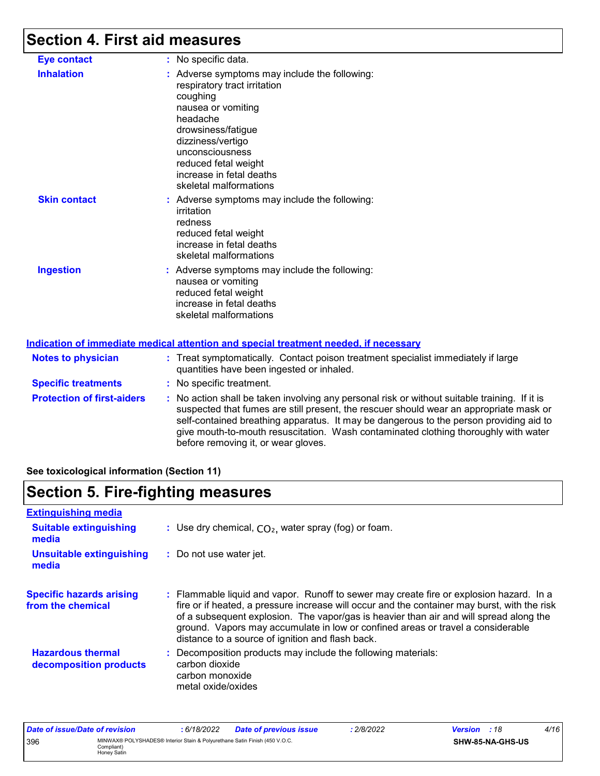## **Section 4. First aid measures**

| <b>Eye contact</b>                | : No specific data.                                                                                                                                                                                                                                                                                                                                                                                             |
|-----------------------------------|-----------------------------------------------------------------------------------------------------------------------------------------------------------------------------------------------------------------------------------------------------------------------------------------------------------------------------------------------------------------------------------------------------------------|
| <b>Inhalation</b>                 | : Adverse symptoms may include the following:<br>respiratory tract irritation<br>coughing<br>nausea or vomiting<br>headache<br>drowsiness/fatigue<br>dizziness/vertigo<br>unconsciousness<br>reduced fetal weight<br>increase in fetal deaths<br>skeletal malformations                                                                                                                                         |
| <b>Skin contact</b>               | : Adverse symptoms may include the following:<br>irritation<br>redness<br>reduced fetal weight<br>increase in fetal deaths<br>skeletal malformations                                                                                                                                                                                                                                                            |
| <b>Ingestion</b>                  | : Adverse symptoms may include the following:<br>nausea or vomiting<br>reduced fetal weight<br>increase in fetal deaths<br>skeletal malformations<br><u>Indication of immediate medical attention and special treatment needed, if necessary</u>                                                                                                                                                                |
| <b>Notes to physician</b>         | : Treat symptomatically. Contact poison treatment specialist immediately if large<br>quantities have been ingested or inhaled.                                                                                                                                                                                                                                                                                  |
| <b>Specific treatments</b>        | : No specific treatment.                                                                                                                                                                                                                                                                                                                                                                                        |
| <b>Protection of first-aiders</b> | : No action shall be taken involving any personal risk or without suitable training. If it is<br>suspected that fumes are still present, the rescuer should wear an appropriate mask or<br>self-contained breathing apparatus. It may be dangerous to the person providing aid to<br>give mouth-to-mouth resuscitation. Wash contaminated clothing thoroughly with water<br>before removing it, or wear gloves. |

#### **See toxicological information (Section 11)**

## **Section 5. Fire-fighting measures**

| <b>Extinguishing media</b>                           |                                                                                                                                                                                                                                                                                                                                                                                                                          |
|------------------------------------------------------|--------------------------------------------------------------------------------------------------------------------------------------------------------------------------------------------------------------------------------------------------------------------------------------------------------------------------------------------------------------------------------------------------------------------------|
| <b>Suitable extinguishing</b><br>media               | : Use dry chemical, $CO2$ , water spray (fog) or foam.                                                                                                                                                                                                                                                                                                                                                                   |
| <b>Unsuitable extinguishing</b><br>media             | : Do not use water jet.                                                                                                                                                                                                                                                                                                                                                                                                  |
| <b>Specific hazards arising</b><br>from the chemical | : Flammable liquid and vapor. Runoff to sewer may create fire or explosion hazard. In a<br>fire or if heated, a pressure increase will occur and the container may burst, with the risk<br>of a subsequent explosion. The vapor/gas is heavier than air and will spread along the<br>ground. Vapors may accumulate in low or confined areas or travel a considerable<br>distance to a source of ignition and flash back. |
| <b>Hazardous thermal</b><br>decomposition products   | : Decomposition products may include the following materials:<br>carbon dioxide<br>carbon monoxide<br>metal oxide/oxides                                                                                                                                                                                                                                                                                                 |

| Date of issue/Date of revision |                                                                                                         | : 6/18/2022 | <b>Date of previous issue</b> | 2/8/2022 | <b>Version</b> : 18 |                  | 4/16 |
|--------------------------------|---------------------------------------------------------------------------------------------------------|-------------|-------------------------------|----------|---------------------|------------------|------|
| 396                            | MINWAX® POLYSHADES® Interior Stain & Polyurethane Satin Finish (450 V.O.C.<br>Compliant)<br>Honey Satin |             |                               |          |                     | SHW-85-NA-GHS-US |      |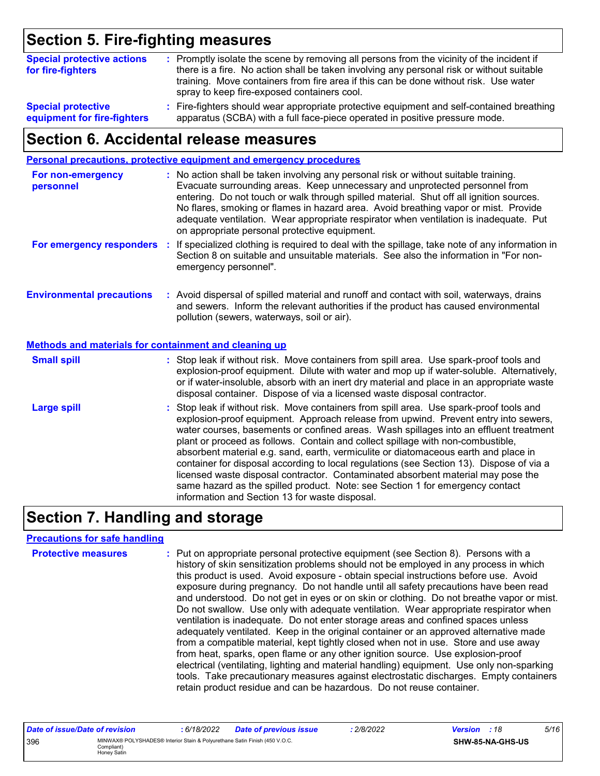## **Section 5. Fire-fighting measures**

| <b>Special protective actions</b><br>for fire-fighters | : Promptly isolate the scene by removing all persons from the vicinity of the incident if<br>there is a fire. No action shall be taken involving any personal risk or without suitable<br>training. Move containers from fire area if this can be done without risk. Use water<br>spray to keep fire-exposed containers cool. |
|--------------------------------------------------------|-------------------------------------------------------------------------------------------------------------------------------------------------------------------------------------------------------------------------------------------------------------------------------------------------------------------------------|
| <b>Special protective</b>                              | : Fire-fighters should wear appropriate protective equipment and self-contained breathing                                                                                                                                                                                                                                     |
| equipment for fire-fighters                            | apparatus (SCBA) with a full face-piece operated in positive pressure mode.                                                                                                                                                                                                                                                   |

### **Section 6. Accidental release measures**

|                                                       | Personal precautions, protective equipment and emergency procedures                                                                                                                                                                                                                                                                                                                                                                                                                                                                                                                                                                                                                                                                                                  |
|-------------------------------------------------------|----------------------------------------------------------------------------------------------------------------------------------------------------------------------------------------------------------------------------------------------------------------------------------------------------------------------------------------------------------------------------------------------------------------------------------------------------------------------------------------------------------------------------------------------------------------------------------------------------------------------------------------------------------------------------------------------------------------------------------------------------------------------|
| For non-emergency<br>personnel                        | : No action shall be taken involving any personal risk or without suitable training.<br>Evacuate surrounding areas. Keep unnecessary and unprotected personnel from<br>entering. Do not touch or walk through spilled material. Shut off all ignition sources.<br>No flares, smoking or flames in hazard area. Avoid breathing vapor or mist. Provide<br>adequate ventilation. Wear appropriate respirator when ventilation is inadequate. Put<br>on appropriate personal protective equipment.                                                                                                                                                                                                                                                                      |
| For emergency responders :                            | If specialized clothing is required to deal with the spillage, take note of any information in<br>Section 8 on suitable and unsuitable materials. See also the information in "For non-<br>emergency personnel".                                                                                                                                                                                                                                                                                                                                                                                                                                                                                                                                                     |
| <b>Environmental precautions</b>                      | : Avoid dispersal of spilled material and runoff and contact with soil, waterways, drains<br>and sewers. Inform the relevant authorities if the product has caused environmental<br>pollution (sewers, waterways, soil or air).                                                                                                                                                                                                                                                                                                                                                                                                                                                                                                                                      |
| Methods and materials for containment and cleaning up |                                                                                                                                                                                                                                                                                                                                                                                                                                                                                                                                                                                                                                                                                                                                                                      |
| <b>Small spill</b>                                    | : Stop leak if without risk. Move containers from spill area. Use spark-proof tools and<br>explosion-proof equipment. Dilute with water and mop up if water-soluble. Alternatively,<br>or if water-insoluble, absorb with an inert dry material and place in an appropriate waste<br>disposal container. Dispose of via a licensed waste disposal contractor.                                                                                                                                                                                                                                                                                                                                                                                                        |
| <b>Large spill</b>                                    | : Stop leak if without risk. Move containers from spill area. Use spark-proof tools and<br>explosion-proof equipment. Approach release from upwind. Prevent entry into sewers,<br>water courses, basements or confined areas. Wash spillages into an effluent treatment<br>plant or proceed as follows. Contain and collect spillage with non-combustible,<br>absorbent material e.g. sand, earth, vermiculite or diatomaceous earth and place in<br>container for disposal according to local regulations (see Section 13). Dispose of via a<br>licensed waste disposal contractor. Contaminated absorbent material may pose the<br>same hazard as the spilled product. Note: see Section 1 for emergency contact<br>information and Section 13 for waste disposal. |

## **Section 7. Handling and storage**

#### **Precautions for safe handling**

| <b>Protective measures</b> | : Put on appropriate personal protective equipment (see Section 8). Persons with a<br>history of skin sensitization problems should not be employed in any process in which<br>this product is used. Avoid exposure - obtain special instructions before use. Avoid<br>exposure during pregnancy. Do not handle until all safety precautions have been read<br>and understood. Do not get in eyes or on skin or clothing. Do not breathe vapor or mist.<br>Do not swallow. Use only with adequate ventilation. Wear appropriate respirator when<br>ventilation is inadequate. Do not enter storage areas and confined spaces unless<br>adequately ventilated. Keep in the original container or an approved alternative made<br>from a compatible material, kept tightly closed when not in use. Store and use away<br>from heat, sparks, open flame or any other ignition source. Use explosion-proof<br>electrical (ventilating, lighting and material handling) equipment. Use only non-sparking<br>tools. Take precautionary measures against electrostatic discharges. Empty containers |
|----------------------------|----------------------------------------------------------------------------------------------------------------------------------------------------------------------------------------------------------------------------------------------------------------------------------------------------------------------------------------------------------------------------------------------------------------------------------------------------------------------------------------------------------------------------------------------------------------------------------------------------------------------------------------------------------------------------------------------------------------------------------------------------------------------------------------------------------------------------------------------------------------------------------------------------------------------------------------------------------------------------------------------------------------------------------------------------------------------------------------------|
|                            | retain product residue and can be hazardous. Do not reuse container.                                                                                                                                                                                                                                                                                                                                                                                                                                                                                                                                                                                                                                                                                                                                                                                                                                                                                                                                                                                                                         |

| Date of issue/Date of revision |                                                                                                         | : 6/18/2022 | <b>Date of previous issue</b> | 2/8/2022 | <b>Version</b> : 18 |                  | 5/16 |
|--------------------------------|---------------------------------------------------------------------------------------------------------|-------------|-------------------------------|----------|---------------------|------------------|------|
| 396                            | MINWAX® POLYSHADES® Interior Stain & Polyurethane Satin Finish (450 V.O.C.<br>Compliant)<br>Honey Satin |             |                               |          |                     | SHW-85-NA-GHS-US |      |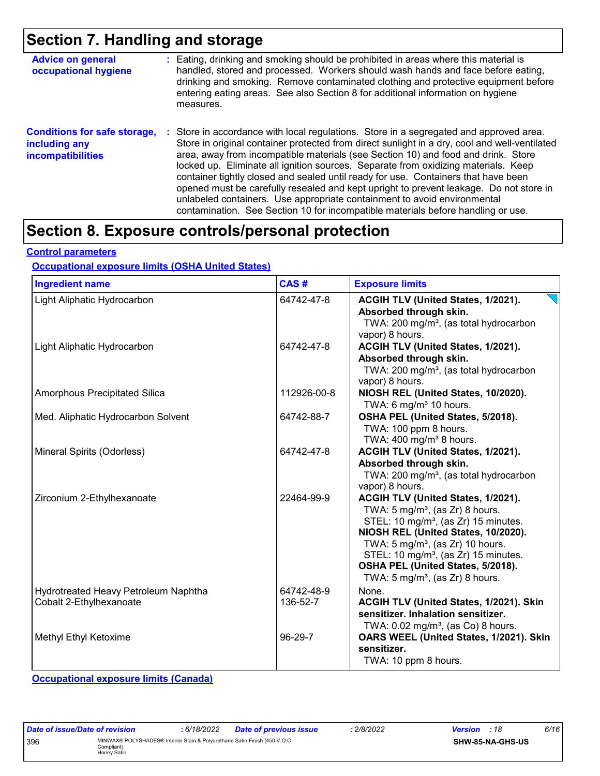## **Section 7. Handling and storage**

| <b>Advice on general</b><br>occupational hygiene                                 | : Eating, drinking and smoking should be prohibited in areas where this material is<br>handled, stored and processed. Workers should wash hands and face before eating,<br>drinking and smoking. Remove contaminated clothing and protective equipment before<br>entering eating areas. See also Section 8 for additional information on hygiene<br>measures.                                                                                                                                                                                                                                                                                                                                                      |
|----------------------------------------------------------------------------------|--------------------------------------------------------------------------------------------------------------------------------------------------------------------------------------------------------------------------------------------------------------------------------------------------------------------------------------------------------------------------------------------------------------------------------------------------------------------------------------------------------------------------------------------------------------------------------------------------------------------------------------------------------------------------------------------------------------------|
| <b>Conditions for safe storage,</b><br>including any<br><b>incompatibilities</b> | : Store in accordance with local regulations. Store in a segregated and approved area.<br>Store in original container protected from direct sunlight in a dry, cool and well-ventilated<br>area, away from incompatible materials (see Section 10) and food and drink. Store<br>locked up. Eliminate all ignition sources. Separate from oxidizing materials. Keep<br>container tightly closed and sealed until ready for use. Containers that have been<br>opened must be carefully resealed and kept upright to prevent leakage. Do not store in<br>unlabeled containers. Use appropriate containment to avoid environmental<br>contamination. See Section 10 for incompatible materials before handling or use. |

## **Section 8. Exposure controls/personal protection**

#### **Control parameters**

#### **Occupational exposure limits (OSHA United States)**

| <b>Ingredient name</b>                                          | CAS#                   | <b>Exposure limits</b>                                                                                                                                                                                                                                                                                                                                             |
|-----------------------------------------------------------------|------------------------|--------------------------------------------------------------------------------------------------------------------------------------------------------------------------------------------------------------------------------------------------------------------------------------------------------------------------------------------------------------------|
| Light Aliphatic Hydrocarbon                                     | 64742-47-8             | ACGIH TLV (United States, 1/2021).<br>Absorbed through skin.<br>TWA: 200 mg/m <sup>3</sup> , (as total hydrocarbon<br>vapor) 8 hours.                                                                                                                                                                                                                              |
| Light Aliphatic Hydrocarbon                                     | 64742-47-8             | ACGIH TLV (United States, 1/2021).<br>Absorbed through skin.<br>TWA: 200 mg/m <sup>3</sup> , (as total hydrocarbon<br>vapor) 8 hours.                                                                                                                                                                                                                              |
| Amorphous Precipitated Silica                                   | 112926-00-8            | NIOSH REL (United States, 10/2020).<br>TWA: 6 mg/m <sup>3</sup> 10 hours.                                                                                                                                                                                                                                                                                          |
| Med. Aliphatic Hydrocarbon Solvent                              | 64742-88-7             | OSHA PEL (United States, 5/2018).<br>TWA: 100 ppm 8 hours.<br>TWA: $400 \text{ mg/m}^3$ 8 hours.                                                                                                                                                                                                                                                                   |
| Mineral Spirits (Odorless)                                      | 64742-47-8             | ACGIH TLV (United States, 1/2021).<br>Absorbed through skin.<br>TWA: 200 mg/m <sup>3</sup> , (as total hydrocarbon<br>vapor) 8 hours.                                                                                                                                                                                                                              |
| Zirconium 2-Ethylhexanoate                                      | 22464-99-9             | ACGIH TLV (United States, 1/2021).<br>TWA: $5 \text{ mg/m}^3$ , (as Zr) 8 hours.<br>STEL: 10 mg/m <sup>3</sup> , (as Zr) 15 minutes.<br>NIOSH REL (United States, 10/2020).<br>TWA: 5 mg/m <sup>3</sup> , (as Zr) 10 hours.<br>STEL: 10 mg/m <sup>3</sup> , (as Zr) 15 minutes.<br>OSHA PEL (United States, 5/2018).<br>TWA: $5 \text{ mg/m}^3$ , (as Zr) 8 hours. |
| Hydrotreated Heavy Petroleum Naphtha<br>Cobalt 2-Ethylhexanoate | 64742-48-9<br>136-52-7 | None.<br>ACGIH TLV (United States, 1/2021). Skin<br>sensitizer. Inhalation sensitizer.<br>TWA: $0.02$ mg/m <sup>3</sup> , (as Co) 8 hours.                                                                                                                                                                                                                         |
| Methyl Ethyl Ketoxime                                           | 96-29-7                | OARS WEEL (United States, 1/2021). Skin<br>sensitizer.<br>TWA: 10 ppm 8 hours.                                                                                                                                                                                                                                                                                     |

**Occupational exposure limits (Canada)**

| Date of issue/Date of revision |                                                                                                         | : 6/18/2022 | <b>Date of previous issue</b> | 2/8/2022 | <b>Version</b> : 18 |                         | 6/16 |
|--------------------------------|---------------------------------------------------------------------------------------------------------|-------------|-------------------------------|----------|---------------------|-------------------------|------|
| 396                            | MINWAX® POLYSHADES® Interior Stain & Polyurethane Satin Finish (450 V.O.C.<br>Compliant)<br>Honey Satin |             |                               |          |                     | <b>SHW-85-NA-GHS-US</b> |      |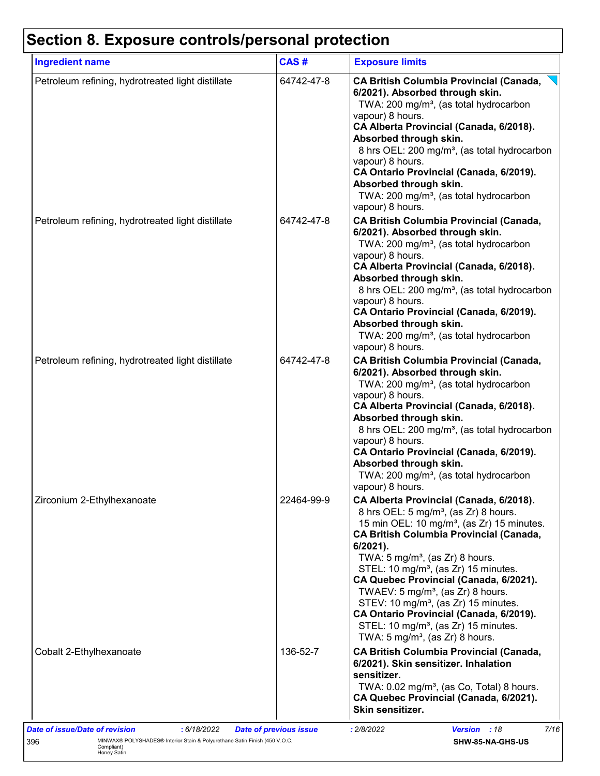## **Section 8. Exposure controls/personal protection**

| <b>Ingredient name</b>                            | CAS#       | <b>Exposure limits</b>                                                                                                                                                                                                                                                                                                                                                                                                                                                                                                                                                                                                    |
|---------------------------------------------------|------------|---------------------------------------------------------------------------------------------------------------------------------------------------------------------------------------------------------------------------------------------------------------------------------------------------------------------------------------------------------------------------------------------------------------------------------------------------------------------------------------------------------------------------------------------------------------------------------------------------------------------------|
| Petroleum refining, hydrotreated light distillate | 64742-47-8 | <b>CA British Columbia Provincial (Canada,</b><br>6/2021). Absorbed through skin.<br>TWA: 200 mg/m <sup>3</sup> , (as total hydrocarbon<br>vapour) 8 hours.<br>CA Alberta Provincial (Canada, 6/2018).<br>Absorbed through skin.<br>8 hrs OEL: 200 mg/m <sup>3</sup> , (as total hydrocarbon<br>vapour) 8 hours.<br>CA Ontario Provincial (Canada, 6/2019).<br>Absorbed through skin.<br>TWA: 200 mg/m <sup>3</sup> , (as total hydrocarbon<br>vapour) 8 hours.                                                                                                                                                           |
| Petroleum refining, hydrotreated light distillate | 64742-47-8 | <b>CA British Columbia Provincial (Canada,</b><br>6/2021). Absorbed through skin.<br>TWA: 200 mg/m <sup>3</sup> , (as total hydrocarbon<br>vapour) 8 hours.<br>CA Alberta Provincial (Canada, 6/2018).<br>Absorbed through skin.<br>8 hrs OEL: 200 mg/m <sup>3</sup> , (as total hydrocarbon<br>vapour) 8 hours.<br>CA Ontario Provincial (Canada, 6/2019).<br>Absorbed through skin.<br>TWA: 200 mg/m <sup>3</sup> , (as total hydrocarbon<br>vapour) 8 hours.                                                                                                                                                           |
| Petroleum refining, hydrotreated light distillate | 64742-47-8 | <b>CA British Columbia Provincial (Canada,</b><br>6/2021). Absorbed through skin.<br>TWA: 200 mg/m <sup>3</sup> , (as total hydrocarbon<br>vapour) 8 hours.<br>CA Alberta Provincial (Canada, 6/2018).<br>Absorbed through skin.<br>8 hrs OEL: 200 mg/m <sup>3</sup> , (as total hydrocarbon<br>vapour) 8 hours.<br>CA Ontario Provincial (Canada, 6/2019).<br>Absorbed through skin.<br>TWA: 200 mg/m <sup>3</sup> , (as total hydrocarbon<br>vapour) 8 hours.                                                                                                                                                           |
| Zirconium 2-Ethylhexanoate                        | 22464-99-9 | CA Alberta Provincial (Canada, 6/2018).<br>8 hrs OEL: 5 mg/m <sup>3</sup> , (as Zr) 8 hours.<br>15 min OEL: 10 mg/m <sup>3</sup> , (as Zr) 15 minutes.<br><b>CA British Columbia Provincial (Canada,</b><br>$6/2021$ ).<br>TWA: 5 mg/m <sup>3</sup> , (as Zr) 8 hours.<br>STEL: 10 mg/m <sup>3</sup> , (as Zr) 15 minutes.<br>CA Quebec Provincial (Canada, 6/2021).<br>TWAEV: $5 \text{ mg/m}^3$ , (as Zr) 8 hours.<br>STEV: 10 mg/m <sup>3</sup> , (as Zr) 15 minutes.<br>CA Ontario Provincial (Canada, 6/2019).<br>STEL: 10 mg/m <sup>3</sup> , (as Zr) 15 minutes.<br>TWA: 5 mg/m <sup>3</sup> , (as $Zr$ ) 8 hours. |
| Cobalt 2-Ethylhexanoate                           | 136-52-7   | <b>CA British Columbia Provincial (Canada,</b><br>6/2021). Skin sensitizer. Inhalation<br>sensitizer.<br>TWA: 0.02 mg/m <sup>3</sup> , (as Co, Total) 8 hours.<br>CA Quebec Provincial (Canada, 6/2021).<br>Skin sensitizer.                                                                                                                                                                                                                                                                                                                                                                                              |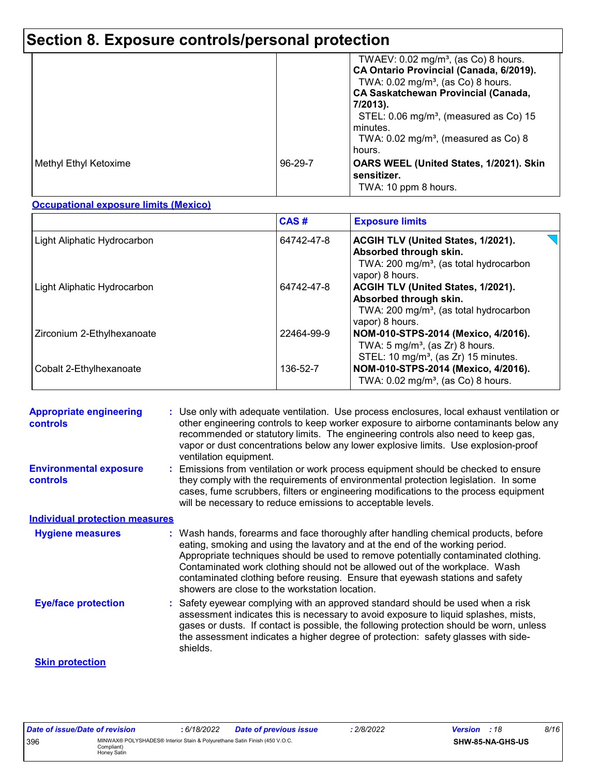## **Section 8. Exposure controls/personal protection**

|                       |               | TWAEV: $0.02 \text{ mg/m}^3$ , (as Co) 8 hours.<br>CA Ontario Provincial (Canada, 6/2019).<br>TWA: $0.02$ mg/m <sup>3</sup> , (as Co) 8 hours.<br><b>CA Saskatchewan Provincial (Canada,</b><br>7/2013).<br>STEL: $0.06 \text{ mg/m}^3$ , (measured as Co) 15<br>minutes.<br>TWA: $0.02 \text{ mg/m}^3$ , (measured as Co) 8<br>hours. |
|-----------------------|---------------|----------------------------------------------------------------------------------------------------------------------------------------------------------------------------------------------------------------------------------------------------------------------------------------------------------------------------------------|
| Methyl Ethyl Ketoxime | $96 - 29 - 7$ | OARS WEEL (United States, 1/2021). Skin<br>sensitizer.<br>TWA: 10 ppm 8 hours.                                                                                                                                                                                                                                                         |

#### **Occupational exposure limits (Mexico)**

|                             | CAS#       | <b>Exposure limits</b>                                                                                                                |
|-----------------------------|------------|---------------------------------------------------------------------------------------------------------------------------------------|
| Light Aliphatic Hydrocarbon | 64742-47-8 | ACGIH TLV (United States, 1/2021).<br>Absorbed through skin.<br>TWA: 200 mg/m <sup>3</sup> , (as total hydrocarbon<br>vapor) 8 hours. |
| Light Aliphatic Hydrocarbon | 64742-47-8 | ACGIH TLV (United States, 1/2021).<br>Absorbed through skin.<br>TWA: $200 \text{ mg/m}^3$ , (as total hydrocarbon<br>vapor) 8 hours.  |
| Zirconium 2-Ethylhexanoate  | 22464-99-9 | NOM-010-STPS-2014 (Mexico, 4/2016).<br>TWA: $5 \text{ mg/m}^3$ , (as Zr) 8 hours.<br>STEL: 10 mg/m <sup>3</sup> , (as Zr) 15 minutes. |
| Cobalt 2-Ethylhexanoate     | 136-52-7   | NOM-010-STPS-2014 (Mexico, 4/2016).<br>TWA: $0.02 \text{ mg/m}^3$ , (as Co) 8 hours.                                                  |

| <b>Appropriate engineering</b><br><b>controls</b> | : Use only with adequate ventilation. Use process enclosures, local exhaust ventilation or<br>other engineering controls to keep worker exposure to airborne contaminants below any<br>recommended or statutory limits. The engineering controls also need to keep gas,<br>vapor or dust concentrations below any lower explosive limits. Use explosion-proof<br>ventilation equipment.                                                                                     |
|---------------------------------------------------|-----------------------------------------------------------------------------------------------------------------------------------------------------------------------------------------------------------------------------------------------------------------------------------------------------------------------------------------------------------------------------------------------------------------------------------------------------------------------------|
| <b>Environmental exposure</b><br><b>controls</b>  | Emissions from ventilation or work process equipment should be checked to ensure<br>they comply with the requirements of environmental protection legislation. In some<br>cases, fume scrubbers, filters or engineering modifications to the process equipment<br>will be necessary to reduce emissions to acceptable levels.                                                                                                                                               |
| <b>Individual protection measures</b>             |                                                                                                                                                                                                                                                                                                                                                                                                                                                                             |
| <b>Hygiene measures</b>                           | : Wash hands, forearms and face thoroughly after handling chemical products, before<br>eating, smoking and using the lavatory and at the end of the working period.<br>Appropriate techniques should be used to remove potentially contaminated clothing.<br>Contaminated work clothing should not be allowed out of the workplace. Wash<br>contaminated clothing before reusing. Ensure that eyewash stations and safety<br>showers are close to the workstation location. |
| <b>Eye/face protection</b>                        | : Safety eyewear complying with an approved standard should be used when a risk<br>assessment indicates this is necessary to avoid exposure to liquid splashes, mists,<br>gases or dusts. If contact is possible, the following protection should be worn, unless<br>the assessment indicates a higher degree of protection: safety glasses with side-<br>shields.                                                                                                          |
| <b>Skin protection</b>                            |                                                                                                                                                                                                                                                                                                                                                                                                                                                                             |

| Date of issue/Date of revision |                                                                                                         | 6/18/2022 | <b>Date of previous issue</b> | 2/8/2022 | <b>Version</b> : 18 |                  | 8/16 |
|--------------------------------|---------------------------------------------------------------------------------------------------------|-----------|-------------------------------|----------|---------------------|------------------|------|
| 396                            | MINWAX® POLYSHADES® Interior Stain & Polyurethane Satin Finish (450 V.O.C.<br>Compliant)<br>Honey Satin |           |                               |          |                     | SHW-85-NA-GHS-US |      |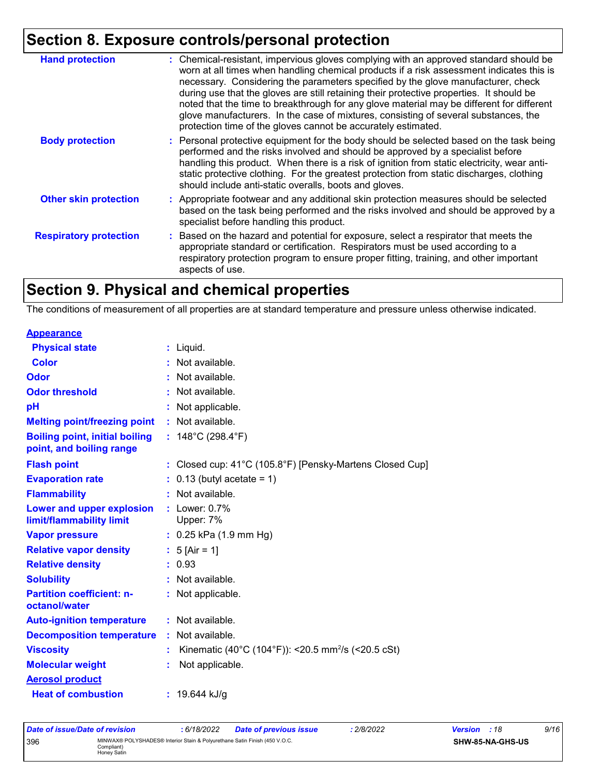## **Section 8. Exposure controls/personal protection**

| <b>Hand protection</b>        | : Chemical-resistant, impervious gloves complying with an approved standard should be<br>worn at all times when handling chemical products if a risk assessment indicates this is<br>necessary. Considering the parameters specified by the glove manufacturer, check<br>during use that the gloves are still retaining their protective properties. It should be<br>noted that the time to breakthrough for any glove material may be different for different<br>glove manufacturers. In the case of mixtures, consisting of several substances, the<br>protection time of the gloves cannot be accurately estimated. |
|-------------------------------|------------------------------------------------------------------------------------------------------------------------------------------------------------------------------------------------------------------------------------------------------------------------------------------------------------------------------------------------------------------------------------------------------------------------------------------------------------------------------------------------------------------------------------------------------------------------------------------------------------------------|
| <b>Body protection</b>        | : Personal protective equipment for the body should be selected based on the task being<br>performed and the risks involved and should be approved by a specialist before<br>handling this product. When there is a risk of ignition from static electricity, wear anti-<br>static protective clothing. For the greatest protection from static discharges, clothing<br>should include anti-static overalls, boots and gloves.                                                                                                                                                                                         |
| <b>Other skin protection</b>  | : Appropriate footwear and any additional skin protection measures should be selected<br>based on the task being performed and the risks involved and should be approved by a<br>specialist before handling this product.                                                                                                                                                                                                                                                                                                                                                                                              |
| <b>Respiratory protection</b> | : Based on the hazard and potential for exposure, select a respirator that meets the<br>appropriate standard or certification. Respirators must be used according to a<br>respiratory protection program to ensure proper fitting, training, and other important<br>aspects of use.                                                                                                                                                                                                                                                                                                                                    |

## **Section 9. Physical and chemical properties**

The conditions of measurement of all properties are at standard temperature and pressure unless otherwise indicated.

| <b>Appearance</b>                                                 |                                                                |
|-------------------------------------------------------------------|----------------------------------------------------------------|
| <b>Physical state</b>                                             | $:$ Liquid.                                                    |
| <b>Color</b>                                                      | : Not available.                                               |
| <b>Odor</b>                                                       | : Not available.                                               |
| <b>Odor threshold</b>                                             | Not available.                                                 |
| pH                                                                | Not applicable.                                                |
| <b>Melting point/freezing point</b>                               | : Not available.                                               |
| <b>Boiling point, initial boiling</b><br>point, and boiling range | : $148^{\circ}$ C (298.4 $^{\circ}$ F)                         |
| <b>Flash point</b>                                                | : Closed cup: 41°C (105.8°F) [Pensky-Martens Closed Cup]       |
| <b>Evaporation rate</b>                                           | $: 0.13$ (butyl acetate = 1)                                   |
| <b>Flammability</b>                                               | Not available.                                                 |
| Lower and upper explosion<br>limit/flammability limit             | $:$ Lower: $0.7\%$<br>Upper: 7%                                |
| <b>Vapor pressure</b>                                             | $: 0.25$ kPa (1.9 mm Hg)                                       |
| <b>Relative vapor density</b>                                     | : $5$ [Air = 1]                                                |
| <b>Relative density</b>                                           | : 0.93                                                         |
| <b>Solubility</b>                                                 | : Not available.                                               |
| <b>Partition coefficient: n-</b><br>octanol/water                 | : Not applicable.                                              |
| <b>Auto-ignition temperature</b>                                  | : Not available.                                               |
| <b>Decomposition temperature</b>                                  | Not available.                                                 |
| <b>Viscosity</b>                                                  | Kinematic (40°C (104°F)): <20.5 mm <sup>2</sup> /s (<20.5 cSt) |
| <b>Molecular weight</b>                                           | Not applicable.                                                |
| <b>Aerosol product</b>                                            |                                                                |
| <b>Heat of combustion</b>                                         | : $19.644$ kJ/g                                                |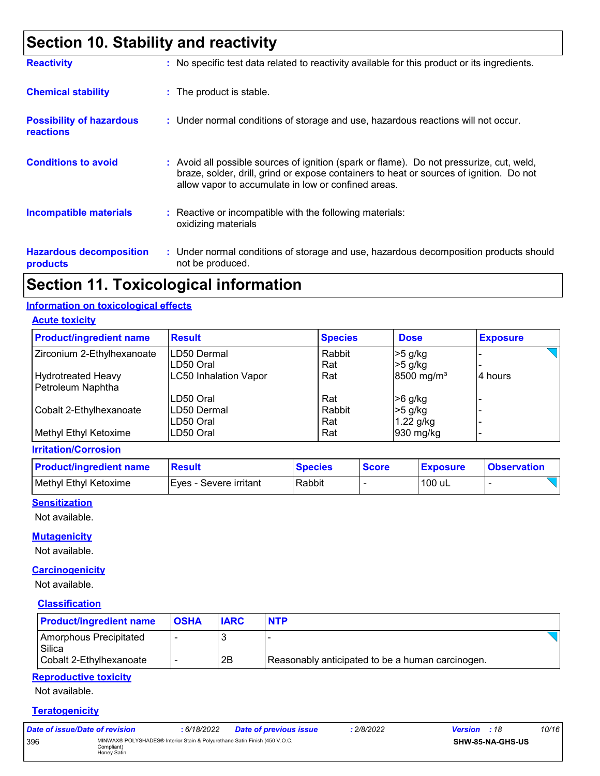## **Section 10. Stability and reactivity**

| <b>Reactivity</b>                                   | : No specific test data related to reactivity available for this product or its ingredients.                                                                                                                                               |
|-----------------------------------------------------|--------------------------------------------------------------------------------------------------------------------------------------------------------------------------------------------------------------------------------------------|
| <b>Chemical stability</b>                           | : The product is stable.                                                                                                                                                                                                                   |
| <b>Possibility of hazardous</b><br><b>reactions</b> | : Under normal conditions of storage and use, hazardous reactions will not occur.                                                                                                                                                          |
| <b>Conditions to avoid</b>                          | : Avoid all possible sources of ignition (spark or flame). Do not pressurize, cut, weld,<br>braze, solder, drill, grind or expose containers to heat or sources of ignition. Do not<br>allow vapor to accumulate in low or confined areas. |
| <b>Incompatible materials</b>                       | : Reactive or incompatible with the following materials:<br>oxidizing materials                                                                                                                                                            |
| <b>Hazardous decomposition</b><br>products          | : Under normal conditions of storage and use, hazardous decomposition products should<br>not be produced.                                                                                                                                  |

### **Section 11. Toxicological information**

#### **Information on toxicological effects**

**Acute toxicity**

| <b>Product/ingredient name</b> | <b>Result</b>                 | <b>Species</b> | <b>Dose</b>            | <b>Exposure</b> |
|--------------------------------|-------------------------------|----------------|------------------------|-----------------|
| Zirconium 2-Ethylhexanoate     | Rabbit<br><b>ILD50 Dermal</b> |                | $>5$ g/kg              |                 |
|                                | LD50 Oral                     | Rat            | $>5$ g/kg              |                 |
| <b>Hydrotreated Heavy</b>      | <b>LC50 Inhalation Vapor</b>  | Rat            | 8500 mg/m <sup>3</sup> | 4 hours         |
| Petroleum Naphtha              |                               |                |                        |                 |
|                                | LD50 Oral                     | Rat            | $>6$ g/kg              |                 |
| Cobalt 2-Ethylhexanoate        | LD50 Dermal                   | Rabbit         | $>5$ g/kg              |                 |
|                                | LD50 Oral                     | Rat            | 1.22 g/kg              |                 |
| Methyl Ethyl Ketoxime          | LD50 Oral                     | Rat            | 930 mg/kg              |                 |

#### **Irritation/Corrosion**

| <b>Product/ingredient name</b> | <b>Result</b>          | <b>Species</b> | <b>Score</b> | <b>Exposure</b> | <b>Observation</b> |
|--------------------------------|------------------------|----------------|--------------|-----------------|--------------------|
| Methyl Ethyl Ketoxime          | Eves - Severe irritant | Rabbit         |              | 100 uL          |                    |

#### **Sensitization**

Not available.

#### **Mutagenicity**

Not available.

#### **Carcinogenicity**

Not available.

#### **Classification**

| <b>Product/ingredient name</b>   | <b>OSHA</b> | <b>IARC</b> | <b>NTP</b>                                       |
|----------------------------------|-------------|-------------|--------------------------------------------------|
| Amorphous Precipitated<br>Silica |             |             |                                                  |
| Cobalt 2-Ethylhexanoate          |             | 2B          | Reasonably anticipated to be a human carcinogen. |

#### **Reproductive toxicity**

Not available.

#### **Teratogenicity**

| Date of issue/Date of revision |                                                                                                         | : 6/18/2022 | <b>Date of previous issue</b> | : 2/8/2022 | <b>Version</b> : 18 |                  | 10/16 |
|--------------------------------|---------------------------------------------------------------------------------------------------------|-------------|-------------------------------|------------|---------------------|------------------|-------|
| 396                            | MINWAX® POLYSHADES® Interior Stain & Polyurethane Satin Finish (450 V.O.C.<br>Compliant)<br>Honey Satin |             |                               |            |                     | SHW-85-NA-GHS-US |       |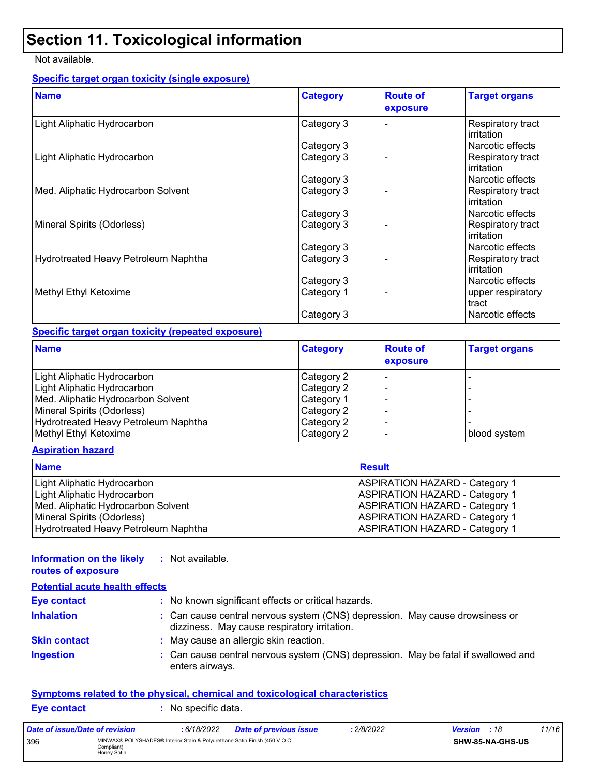## **Section 11. Toxicological information**

#### Not available.

#### **Specific target organ toxicity (single exposure)**

| <b>Name</b>                          | <b>Category</b> | <b>Route of</b><br>exposure | <b>Target organs</b>            |
|--------------------------------------|-----------------|-----------------------------|---------------------------------|
| Light Aliphatic Hydrocarbon          | Category 3      |                             | Respiratory tract<br>irritation |
|                                      | Category 3      |                             | Narcotic effects                |
| Light Aliphatic Hydrocarbon          | Category 3      |                             | Respiratory tract<br>irritation |
|                                      | Category 3      |                             | Narcotic effects                |
| Med. Aliphatic Hydrocarbon Solvent   | Category 3      |                             | Respiratory tract<br>irritation |
|                                      | Category 3      |                             | Narcotic effects                |
| Mineral Spirits (Odorless)           | Category 3      |                             | Respiratory tract<br>irritation |
|                                      | Category 3      |                             | Narcotic effects                |
| Hydrotreated Heavy Petroleum Naphtha | Category 3      |                             | Respiratory tract<br>irritation |
|                                      | Category 3      |                             | Narcotic effects                |
| Methyl Ethyl Ketoxime                | Category 1      |                             | upper respiratory<br>tract      |
|                                      | Category 3      |                             | Narcotic effects                |

#### **Specific target organ toxicity (repeated exposure)**

| <b>Name</b>                          | <b>Category</b> | <b>Route of</b><br>exposure | <b>Target organs</b> |
|--------------------------------------|-----------------|-----------------------------|----------------------|
| Light Aliphatic Hydrocarbon          | Category 2      |                             |                      |
| Light Aliphatic Hydrocarbon          | Category 2      |                             |                      |
| Med. Aliphatic Hydrocarbon Solvent   | Category 1      |                             |                      |
| Mineral Spirits (Odorless)           | Category 2      |                             |                      |
| Hydrotreated Heavy Petroleum Naphtha | Category 2      |                             |                      |
| Methyl Ethyl Ketoxime                | Category 2      |                             | blood system         |

#### **Aspiration hazard**

| <b>Name</b>                          | <b>Result</b>                         |
|--------------------------------------|---------------------------------------|
| Light Aliphatic Hydrocarbon          | <b>ASPIRATION HAZARD - Category 1</b> |
| Light Aliphatic Hydrocarbon          | <b>ASPIRATION HAZARD - Category 1</b> |
| Med. Aliphatic Hydrocarbon Solvent   | <b>ASPIRATION HAZARD - Category 1</b> |
| Mineral Spirits (Odorless)           | <b>ASPIRATION HAZARD - Category 1</b> |
| Hydrotreated Heavy Petroleum Naphtha | <b>ASPIRATION HAZARD - Category 1</b> |

#### **Information on the likely :** Not available. **routes of exposure**

| <b>Potential acute health effects</b> |                                                                                                                              |
|---------------------------------------|------------------------------------------------------------------------------------------------------------------------------|
| <b>Eye contact</b>                    | : No known significant effects or critical hazards.                                                                          |
| <b>Inhalation</b>                     | : Can cause central nervous system (CNS) depression. May cause drowsiness or<br>dizziness. May cause respiratory irritation. |
| <b>Skin contact</b>                   | : May cause an allergic skin reaction.                                                                                       |
| <b>Ingestion</b>                      | : Can cause central nervous system (CNS) depression. May be fatal if swallowed and<br>enters airways.                        |

#### **Symptoms related to the physical, chemical and toxicological characteristics**

| <b>Eye contact</b> | $\therefore$ No specific data. |
|--------------------|--------------------------------|
|--------------------|--------------------------------|

| Date of issue/Date of revision |                                                                                                         | : 6/18/2022 | Date of previous issue | : 2/8/2022 | <b>Version</b> : 18 |                         | 11/16 |
|--------------------------------|---------------------------------------------------------------------------------------------------------|-------------|------------------------|------------|---------------------|-------------------------|-------|
| 396                            | MINWAX® POLYSHADES® Interior Stain & Polyurethane Satin Finish (450 V.O.C.<br>Compliant)<br>Honey Satin |             |                        |            |                     | <b>SHW-85-NA-GHS-US</b> |       |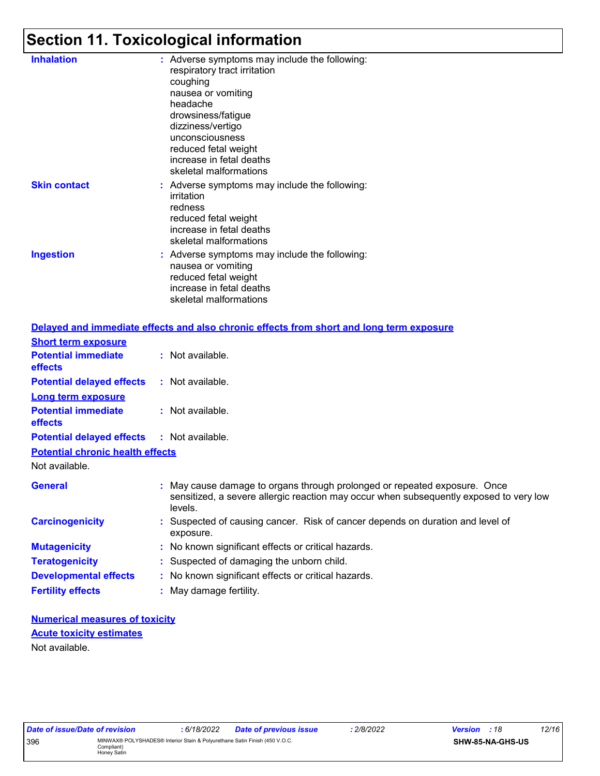## **Section 11. Toxicological information**

| <b>Inhalation</b>   | : Adverse symptoms may include the following:<br>respiratory tract irritation<br>coughing<br>nausea or vomiting<br>headache<br>drowsiness/fatigue<br>dizziness/vertigo<br>unconsciousness<br>reduced fetal weight<br>increase in fetal deaths<br>skeletal malformations |
|---------------------|-------------------------------------------------------------------------------------------------------------------------------------------------------------------------------------------------------------------------------------------------------------------------|
| <b>Skin contact</b> | : Adverse symptoms may include the following:<br>irritation<br>redness<br>reduced fetal weight<br>increase in fetal deaths<br>skeletal malformations                                                                                                                    |
| <b>Ingestion</b>    | : Adverse symptoms may include the following:<br>nausea or vomiting<br>reduced fetal weight<br>increase in fetal deaths<br>skeletal malformations                                                                                                                       |
|                     |                                                                                                                                                                                                                                                                         |

|                                              | Delayed and immediate effects and also chronic effects from short and long term exposure                                                                                       |
|----------------------------------------------|--------------------------------------------------------------------------------------------------------------------------------------------------------------------------------|
| <b>Short term exposure</b>                   |                                                                                                                                                                                |
| <b>Potential immediate</b><br><b>effects</b> | : Not available.                                                                                                                                                               |
| <b>Potential delayed effects</b>             | $:$ Not available.                                                                                                                                                             |
| <b>Long term exposure</b>                    |                                                                                                                                                                                |
| <b>Potential immediate</b><br><b>effects</b> | : Not available.                                                                                                                                                               |
| <b>Potential delayed effects</b>             | : Not available.                                                                                                                                                               |
| <b>Potential chronic health effects</b>      |                                                                                                                                                                                |
| Not available.                               |                                                                                                                                                                                |
| <b>General</b>                               | : May cause damage to organs through prolonged or repeated exposure. Once<br>sensitized, a severe allergic reaction may occur when subsequently exposed to very low<br>levels. |
| <b>Carcinogenicity</b>                       | : Suspected of causing cancer. Risk of cancer depends on duration and level of<br>exposure.                                                                                    |
| <b>Mutagenicity</b>                          | : No known significant effects or critical hazards.                                                                                                                            |
| <b>Teratogenicity</b>                        | : Suspected of damaging the unborn child.                                                                                                                                      |
| <b>Developmental effects</b>                 | : No known significant effects or critical hazards.                                                                                                                            |
| <b>Fertility effects</b>                     | : May damage fertility.                                                                                                                                                        |

**Numerical measures of toxicity** Not available. **Acute toxicity estimates**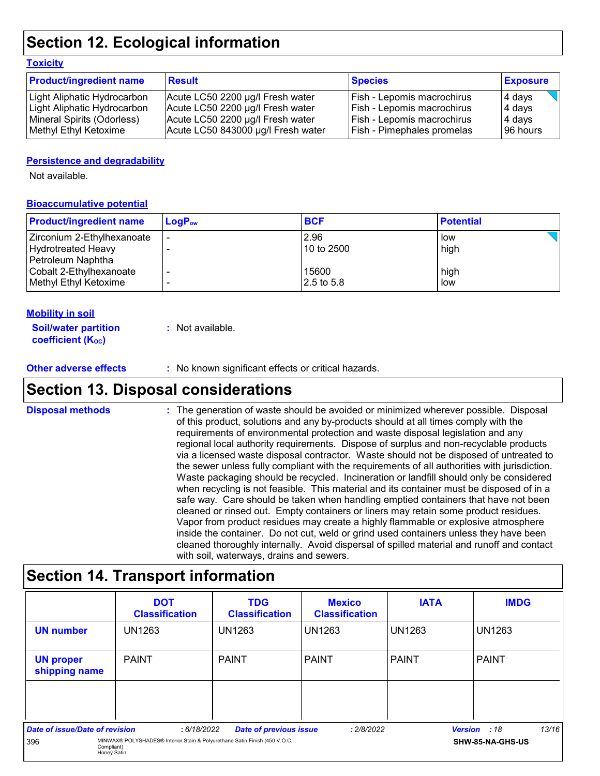## **Section 12. Ecological information**

#### **Toxicity**

| <b>Product/ingredient name</b> | <b>Result</b>                      | <b>Species</b>                    | <b>Exposure</b> |
|--------------------------------|------------------------------------|-----------------------------------|-----------------|
| Light Aliphatic Hydrocarbon    | Acute LC50 2200 µg/l Fresh water   | Fish - Lepomis macrochirus        | 4 days          |
| Light Aliphatic Hydrocarbon    | Acute LC50 2200 µg/l Fresh water   | Fish - Lepomis macrochirus        | 4 days          |
| Mineral Spirits (Odorless)     | Acute LC50 2200 µg/l Fresh water   | <b>Fish - Lepomis macrochirus</b> | 4 days          |
| Methyl Ethyl Ketoxime          | Acute LC50 843000 µg/l Fresh water | Fish - Pimephales promelas        | 196 hours       |

#### **Persistence and degradability**

Not available.

#### **Bioaccumulative potential**

| <b>Product/ingredient name</b> | $LogP_{ow}$ | <b>BCF</b> | <b>Potential</b> |
|--------------------------------|-------------|------------|------------------|
| Zirconium 2-Ethylhexanoate     |             | 2.96       | low              |
| Hydrotreated Heavy             |             | 10 to 2500 | high             |
| Petroleum Naphtha              |             |            |                  |
| Cobalt 2-Ethylhexanoate        |             | 15600      | high             |
| Methyl Ethyl Ketoxime          |             | 2.5 to 5.8 | low              |

#### **Mobility in soil**

| <b>Soil/water partition</b> | : Not available. |
|-----------------------------|------------------|
| <b>coefficient (Koc)</b>    |                  |

#### **Other adverse effects** : No known significant effects or critical hazards.

### **Section 13. Disposal considerations**

The generation of waste should be avoided or minimized wherever possible. Disposal of this product, solutions and any by-products should at all times comply with the requirements of environmental protection and waste disposal legislation and any regional local authority requirements. Dispose of surplus and non-recyclable products via a licensed waste disposal contractor. Waste should not be disposed of untreated to the sewer unless fully compliant with the requirements of all authorities with jurisdiction. Waste packaging should be recycled. Incineration or landfill should only be considered when recycling is not feasible. This material and its container must be disposed of in a safe way. Care should be taken when handling emptied containers that have not been cleaned or rinsed out. Empty containers or liners may retain some product residues. Vapor from product residues may create a highly flammable or explosive atmosphere inside the container. Do not cut, weld or grind used containers unless they have been cleaned thoroughly internally. Avoid dispersal of spilled material and runoff and contact with soil, waterways, drains and sewers. **Disposal methods :**

### **Section 14. Transport information**

|                                   | <b>DOT</b><br><b>Classification</b>                                                                     | <b>TDG</b><br><b>Classification</b> | <b>Mexico</b><br><b>Classification</b> | <b>IATA</b>    | <b>IMDG</b>      |
|-----------------------------------|---------------------------------------------------------------------------------------------------------|-------------------------------------|----------------------------------------|----------------|------------------|
| <b>UN number</b>                  | <b>UN1263</b>                                                                                           | <b>UN1263</b>                       | UN1263                                 | UN1263         | <b>UN1263</b>    |
| <b>UN proper</b><br>shipping name | <b>PAINT</b>                                                                                            | <b>PAINT</b>                        | <b>PAINT</b>                           | l PAINT        | <b>PAINT</b>     |
|                                   |                                                                                                         |                                     |                                        |                |                  |
| Date of issue/Date of revision    | :6/18/2022                                                                                              |                                     | : 2/8/2022                             | <b>Version</b> | 13/16<br>:18     |
| 396                               | MINWAX® POLYSHADES® Interior Stain & Polyurethane Satin Finish (450 V.O.C.<br>Compliant)<br>Honey Satin | <b>Date of previous issue</b>       |                                        |                | SHW-85-NA-GHS-US |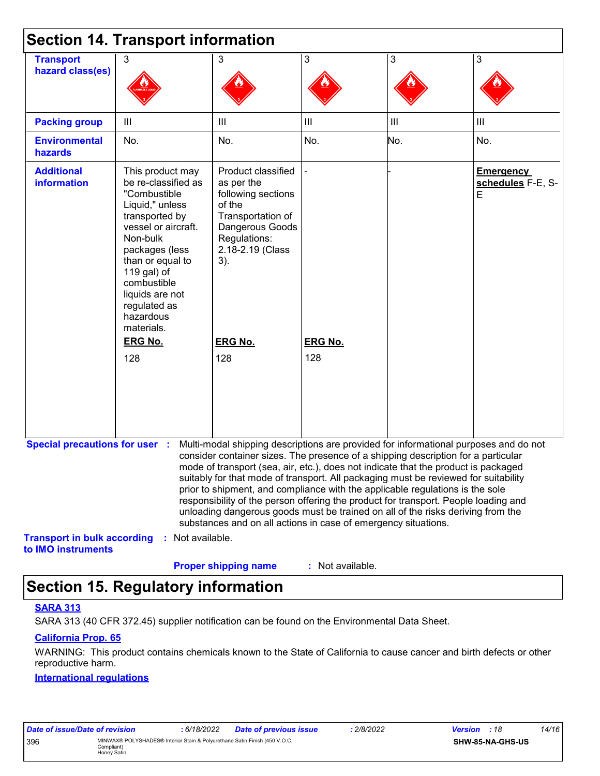|                                                          | <b>Section 14. Transport information</b>                                                                                                                                                                                                                          |                                                                                                                                                                                                                                                                                                                                                                                                                                                                                                                                                                                                                                                                                     |                  |                |                                            |
|----------------------------------------------------------|-------------------------------------------------------------------------------------------------------------------------------------------------------------------------------------------------------------------------------------------------------------------|-------------------------------------------------------------------------------------------------------------------------------------------------------------------------------------------------------------------------------------------------------------------------------------------------------------------------------------------------------------------------------------------------------------------------------------------------------------------------------------------------------------------------------------------------------------------------------------------------------------------------------------------------------------------------------------|------------------|----------------|--------------------------------------------|
| <b>Transport</b><br>hazard class(es)                     | 3                                                                                                                                                                                                                                                                 | 3                                                                                                                                                                                                                                                                                                                                                                                                                                                                                                                                                                                                                                                                                   | 3                | 3              | 3                                          |
| <b>Packing group</b>                                     | Ш                                                                                                                                                                                                                                                                 | III                                                                                                                                                                                                                                                                                                                                                                                                                                                                                                                                                                                                                                                                                 | III              | $\mathbf{III}$ | $\mathbf{III}$                             |
| <b>Environmental</b><br>hazards                          | No.                                                                                                                                                                                                                                                               | No.                                                                                                                                                                                                                                                                                                                                                                                                                                                                                                                                                                                                                                                                                 | No.              | No.            | No.                                        |
| <b>Additional</b><br><b>information</b>                  | This product may<br>be re-classified as<br>"Combustible<br>Liquid," unless<br>transported by<br>vessel or aircraft.<br>Non-bulk<br>packages (less<br>than or equal to<br>119 gal) of<br>combustible<br>liquids are not<br>regulated as<br>hazardous<br>materials. | Product classified<br>as per the<br>following sections<br>of the<br>Transportation of<br>Dangerous Goods<br>Regulations:<br>2.18-2.19 (Class<br>3).                                                                                                                                                                                                                                                                                                                                                                                                                                                                                                                                 |                  |                | <b>Emergency</b><br>schedules F-E, S-<br>E |
|                                                          | <b>ERG No.</b>                                                                                                                                                                                                                                                    | <b>ERG No.</b>                                                                                                                                                                                                                                                                                                                                                                                                                                                                                                                                                                                                                                                                      | <b>ERG No.</b>   |                |                                            |
|                                                          | 128                                                                                                                                                                                                                                                               | 128                                                                                                                                                                                                                                                                                                                                                                                                                                                                                                                                                                                                                                                                                 | 128              |                |                                            |
| <b>Special precautions for user :</b>                    |                                                                                                                                                                                                                                                                   | Multi-modal shipping descriptions are provided for informational purposes and do not<br>consider container sizes. The presence of a shipping description for a particular<br>mode of transport (sea, air, etc.), does not indicate that the product is packaged<br>suitably for that mode of transport. All packaging must be reviewed for suitability<br>prior to shipment, and compliance with the applicable regulations is the sole<br>responsibility of the person offering the product for transport. People loading and<br>unloading dangerous goods must be trained on all of the risks deriving from the<br>substances and on all actions in case of emergency situations. |                  |                |                                            |
| <b>Transport in bulk according</b><br>to IMO instruments | : Not available.                                                                                                                                                                                                                                                  | <b>Proper shipping name</b>                                                                                                                                                                                                                                                                                                                                                                                                                                                                                                                                                                                                                                                         | : Not available. |                |                                            |

## **Section 15. Regulatory information**

#### **SARA 313**

SARA 313 (40 CFR 372.45) supplier notification can be found on the Environmental Data Sheet.

#### **California Prop. 65**

WARNING: This product contains chemicals known to the State of California to cause cancer and birth defects or other reproductive harm.

#### **International regulations**

| Date of issue/Date of revision                                                                                 |  | : 6/18/2022 | <b>Date of previous issue</b> | 2/8/2022 | <b>Version</b> : 18     |  | 14/16 |
|----------------------------------------------------------------------------------------------------------------|--|-------------|-------------------------------|----------|-------------------------|--|-------|
| MINWAX® POLYSHADES® Interior Stain & Polyurethane Satin Finish (450 V.O.C.<br>396<br>Compliant)<br>Honey Satin |  |             |                               |          | <b>SHW-85-NA-GHS-US</b> |  |       |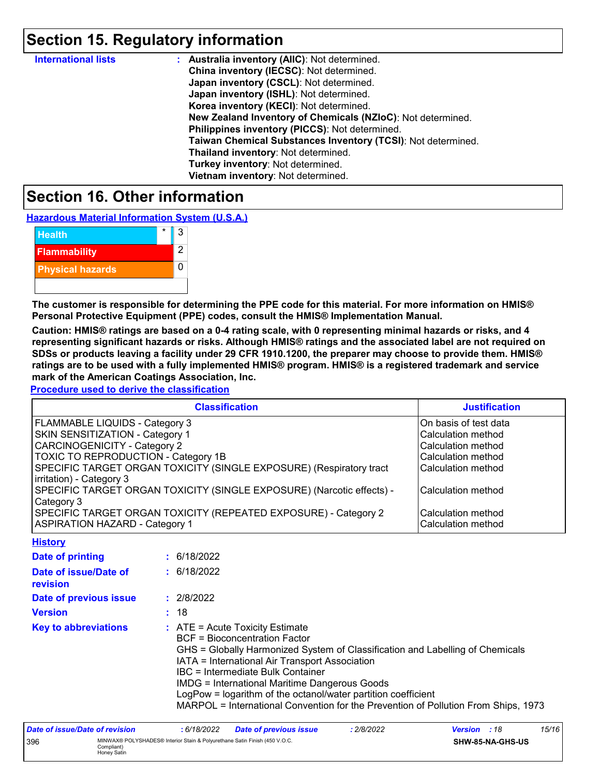## **Section 15. Regulatory information**

| <b>International lists</b> | : Australia inventory (AIIC): Not determined.                |
|----------------------------|--------------------------------------------------------------|
|                            | China inventory (IECSC): Not determined.                     |
|                            | Japan inventory (CSCL): Not determined.                      |
|                            | Japan inventory (ISHL): Not determined.                      |
|                            | Korea inventory (KECI): Not determined.                      |
|                            | New Zealand Inventory of Chemicals (NZIoC): Not determined.  |
|                            | Philippines inventory (PICCS): Not determined.               |
|                            | Taiwan Chemical Substances Inventory (TCSI): Not determined. |
|                            | Thailand inventory: Not determined.                          |
|                            | Turkey inventory: Not determined.                            |
|                            | Vietnam inventory: Not determined.                           |

### **Section 16. Other information**

**Hazardous Material Information System (U.S.A.)**

| <b>Health</b>           | ર |
|-------------------------|---|
| <b>Flammability</b>     | 2 |
| <b>Physical hazards</b> |   |
|                         |   |

**The customer is responsible for determining the PPE code for this material. For more information on HMIS® Personal Protective Equipment (PPE) codes, consult the HMIS® Implementation Manual.**

**Caution: HMIS® ratings are based on a 0-4 rating scale, with 0 representing minimal hazards or risks, and 4 representing significant hazards or risks. Although HMIS® ratings and the associated label are not required on SDSs or products leaving a facility under 29 CFR 1910.1200, the preparer may choose to provide them. HMIS® ratings are to be used with a fully implemented HMIS® program. HMIS® is a registered trademark and service mark of the American Coatings Association, Inc.**

**Procedure used to derive the classification**

| <b>Classification</b>                                                 | <b>Justification</b>      |
|-----------------------------------------------------------------------|---------------------------|
| FLAMMABLE LIQUIDS - Category 3                                        | On basis of test data     |
| <b>SKIN SENSITIZATION - Category 1</b>                                | <b>Calculation method</b> |
| <b>CARCINOGENICITY - Category 2</b>                                   | Calculation method        |
| TOXIC TO REPRODUCTION - Category 1B                                   | Calculation method        |
| SPECIFIC TARGET ORGAN TOXICITY (SINGLE EXPOSURE) (Respiratory tract   | Calculation method        |
| irritation) - Category 3                                              |                           |
| SPECIFIC TARGET ORGAN TOXICITY (SINGLE EXPOSURE) (Narcotic effects) - | Calculation method        |
| Category 3                                                            |                           |
| SPECIFIC TARGET ORGAN TOXICITY (REPEATED EXPOSURE) - Category 2       | l Calculation method      |
| <b>ASPIRATION HAZARD - Category 1</b>                                 | Calculation method        |
| <b>A. A. A. A. A. A. A. A.</b>                                        |                           |

| <b>FIISTORY</b>                   |                                                                                                                                                                                                                                                                                                                                                                                                                                                                           |
|-----------------------------------|---------------------------------------------------------------------------------------------------------------------------------------------------------------------------------------------------------------------------------------------------------------------------------------------------------------------------------------------------------------------------------------------------------------------------------------------------------------------------|
| Date of printing                  | : 6/18/2022                                                                                                                                                                                                                                                                                                                                                                                                                                                               |
| Date of issue/Date of<br>revision | : 6/18/2022                                                                                                                                                                                                                                                                                                                                                                                                                                                               |
| Date of previous issue            | : 2/8/2022                                                                                                                                                                                                                                                                                                                                                                                                                                                                |
| <b>Version</b>                    | : 18                                                                                                                                                                                                                                                                                                                                                                                                                                                                      |
| <b>Key to abbreviations</b>       | $\therefore$ ATE = Acute Toxicity Estimate<br><b>BCF</b> = Bioconcentration Factor<br>GHS = Globally Harmonized System of Classification and Labelling of Chemicals<br>IATA = International Air Transport Association<br>IBC = Intermediate Bulk Container<br><b>IMDG = International Maritime Dangerous Goods</b><br>LogPow = logarithm of the octanol/water partition coefficient<br>MARPOL = International Convention for the Prevention of Pollution From Ships, 1973 |

| Date of issue/Date of revision                                                                                 |  | 6/18/2022 | <b>Date of previous issue</b> | : 2/8/2022 | <b>Version</b> : 18 |  | 15/16 |
|----------------------------------------------------------------------------------------------------------------|--|-----------|-------------------------------|------------|---------------------|--|-------|
| MINWAX® POLYSHADES® Interior Stain & Polyurethane Satin Finish (450 V.O.C.<br>396<br>Compliant)<br>Honey Satin |  |           |                               |            | SHW-85-NA-GHS-US    |  |       |